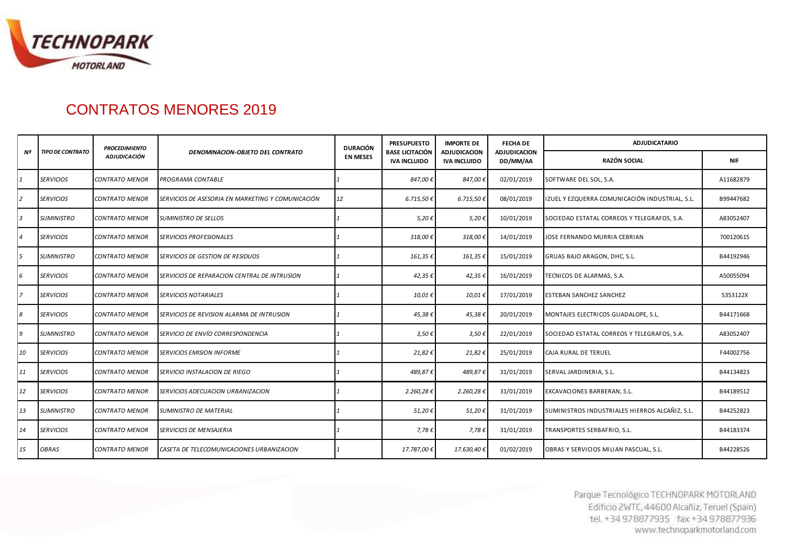

## CONTRATOS MENORES 2019

|                |                         | <b>PROCEDIMIENTO</b>  |                                                   | <b>DURACIÓN</b> | <b>PRESUPUESTO</b>                            | <b>IMPORTE DE</b>                          | <b>FECHA DE</b>                 | <b>ADJUDICATARIO</b>                           |            |  |
|----------------|-------------------------|-----------------------|---------------------------------------------------|-----------------|-----------------------------------------------|--------------------------------------------|---------------------------------|------------------------------------------------|------------|--|
| Nº             | <b>TIPO DE CONTRATO</b> | <b>ADJUDICACIÓN</b>   | <b>DENOMINACION-OBJETO DEL CONTRATO</b>           | <b>EN MESES</b> | <b>BASE LICITACIÓN</b><br><b>IVA INCLUIDO</b> | <b>ADJUDICACION</b><br><b>IVA INCLUIDO</b> | <b>ADJUDICACION</b><br>DD/MM/AA | RAZÓN SOCIAL                                   | <b>NIF</b> |  |
|                | <b>SERVICIOS</b>        | <b>CONTRATO MENOR</b> | PROGRAMA CONTABLE                                 |                 | 847,00€                                       | 847,00€                                    | 02/01/2019                      | SOFTWARE DEL SOL, S.A.                         | A11682879  |  |
| 12             | <b>SERVICIOS</b>        | <b>CONTRATO MENOR</b> | SERVICIOS DE ASESORIA EN MARKETING Y COMUNICACIÓN | 12              | 6.715,50 €                                    | $6.715,50 \in$                             | 08/01/2019                      | IZUEL Y EZQUERRA COMUNICACIÓN INDUSTRIAL, S.L. | B99447682  |  |
| 3              | <b>SUMINISTRO</b>       | <b>CONTRATO MENOR</b> | <b>SUMINISTRO DE SELLOS</b>                       |                 | 5,20€                                         | 5,20€                                      | 10/01/2019                      | SOCIEDAD ESTATAL CORREOS Y TELEGRAFOS, S.A.    | A83052407  |  |
| $\overline{4}$ | <b>SERVICIOS</b>        | <b>CONTRATO MENOR</b> | <b>SERVICIOS PROFESIONALES</b>                    |                 | 318,00€                                       | 318,00€                                    | 14/01/2019                      | JOSE FERNANDO MURRIA CEBRIAN                   | 70012061S  |  |
|                | SUMINISTRO              | <b>CONTRATO MENOR</b> | SERVICIOS DE GESTION DE RESIDUOS                  |                 | 161,35€                                       | 161,35€                                    | 15/01/2019                      | GRUAS BAJO ARAGON, DHC, S.L.                   | B44192946  |  |
| 6              | <b>SERVICIOS</b>        | <b>CONTRATO MENOR</b> | SERVICIOS DE REPARACION CENTRAL DE INTRUSION      |                 | 42,35€                                        | 42,35€                                     | 16/01/2019                      | TECNICOS DE ALARMAS, S.A.                      | A50055094  |  |
| 17             | <b>SERVICIOS</b>        | <b>CONTRATO MENOR</b> | <b>SERVICIOS NOTARIALES</b>                       |                 | 10,01€                                        | 10,01€                                     | 17/01/2019                      | <b>ESTEBAN SANCHEZ SANCHEZ</b>                 | 5353122X   |  |
| 8              | <b>SERVICIOS</b>        | <b>CONTRATO MENOR</b> | SERVICIOS DE REVISION ALARMA DE INTRUSION         |                 | 45,38€                                        | 45,38€                                     | 20/01/2019                      | MONTAJES ELECTRICOS GUADALOPE, S.L.            | B44171668  |  |
| 9              | <b>SUMINISTRO</b>       | <b>CONTRATO MENOR</b> | SERVICIO DE ENVÍO CORRESPONDENCIA                 |                 | $3,50 \in$                                    | 3,50€                                      | 22/01/2019                      | SOCIEDAD ESTATAL CORREOS Y TELEGRAFOS, S.A.    | A83052407  |  |
| 10             | <b>SERVICIOS</b>        | <b>CONTRATO MENOR</b> | <b>SERVICIOS EMISION INFORME</b>                  |                 | 21,82€                                        | 21,82€                                     | 25/01/2019                      | <b>CAJA RURAL DE TERUEL</b>                    | F44002756  |  |
| 11             | <b>SERVICIOS</b>        | <b>CONTRATO MENOR</b> | SERVICIO INSTALACION DE RIEGO                     |                 | 489,87€                                       | 489,87€                                    | 31/01/2019                      | SERVAL JARDINERIA, S.L.                        | B44134823  |  |
| 12             | <b>SERVICIOS</b>        | <b>CONTRATO MENOR</b> | SERVICIOS ADECUACION URBANIZACION                 |                 | 2.260,28€                                     | 2.260,28€                                  | 31/01/2019                      | EXCAVACIONES BARBERAN, S.L.                    | B44189512  |  |
| 13             | <b>SUMINISTRO</b>       | <b>CONTRATO MENOR</b> | <b>SUMINISTRO DE MATERIAL</b>                     |                 | 51,20€                                        | 51,20€                                     | 31/01/2019                      | SUMINISTROS INDUSTRIALES HIERROS ALCAÑIZ, S.L. | B44252823  |  |
| 14             | <b>SERVICIOS</b>        | <b>CONTRATO MENOR</b> | SERVICIOS DE MENSAJERIA                           |                 | 7,78€                                         | 7,78€                                      | 31/01/2019                      | TRANSPORTES SERBAFRIO, S.L.                    | B44183374  |  |
| 15             | <b>OBRAS</b>            | <b>CONTRATO MENOR</b> | CASETA DE TELECOMUNICACIONES URBANIZACION         |                 | 17.787,00€                                    | 17.630,40€                                 | 01/02/2019                      | OBRAS Y SERVICIOS MILIAN PASCUAL, S.L.         | B44228526  |  |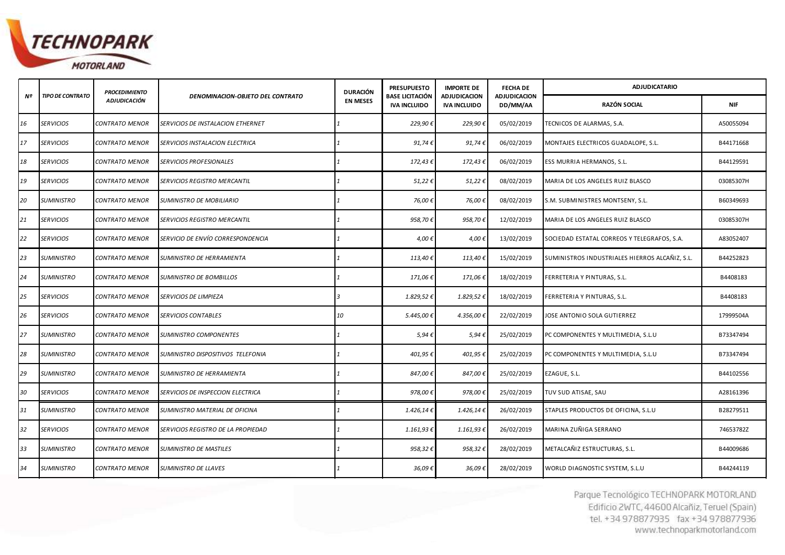

|    |                   | <b>PROCEDIMIENTO</b>  |                                     | <b>DURACIÓN</b> | <b>PRESUPUESTO</b>                     | <b>IMPORTE DE</b>                          | <b>FECHA DE</b>                 | <b>ADJUDICATARIO</b>                           |            |  |
|----|-------------------|-----------------------|-------------------------------------|-----------------|----------------------------------------|--------------------------------------------|---------------------------------|------------------------------------------------|------------|--|
| Nº | TIPO DE CONTRATO  | <b>ADJUDICACIÓN</b>   | DENOMINACION-OBJETO DEL CONTRATO    | <b>EN MESES</b> | BASE LICITACIÓN<br><b>IVA INCLUIDO</b> | <b>ADJUDICACION</b><br><b>IVA INCLUIDO</b> | <b>ADJUDICACION</b><br>DD/MM/AA | RAZÓN SOCIAL                                   | <b>NIF</b> |  |
| 16 | <b>SERVICIOS</b>  | CONTRATO MENOR        | SERVICIOS DE INSTALACION ETHERNET   |                 | 229,90€                                | 229,90€                                    | 05/02/2019                      | TECNICOS DE ALARMAS, S.A.                      | A50055094  |  |
| 17 | <b>SERVICIOS</b>  | CONTRATO MENOR        | SERVICIOS INSTALACION ELECTRICA     |                 | 91,74€                                 | 91,74€                                     | 06/02/2019                      | MONTAJES ELECTRICOS GUADALOPE, S.L.            | B44171668  |  |
| 18 | <b>SERVICIOS</b>  | <b>CONTRATO MENOR</b> | <b>SERVICIOS PROFESIONALES</b>      |                 | 172,43€                                | 172,43€                                    | 06/02/2019                      | ESS MURRIA HERMANOS, S.L.                      | B44129591  |  |
| 19 | <b>SERVICIOS</b>  | <b>CONTRATO MENOR</b> | <b>SERVICIOS REGISTRO MERCANTIL</b> |                 | 51,22€                                 | 51,22€                                     | 08/02/2019                      | MARIA DE LOS ANGELES RUIZ BLASCO               | 03085307H  |  |
| 20 | <b>SUMINISTRO</b> | <b>CONTRATO MENOR</b> | SUMINISTRO DE MOBILIARIO            |                 | 76,00€                                 | 76,00€                                     | 08/02/2019                      | S.M. SUBMINISTRES MONTSENY, S.L.               | B60349693  |  |
| 21 | <b>SERVICIOS</b>  | CONTRATO MENOR        | SERVICIOS REGISTRO MERCANTIL        |                 | 958,70€                                | 958,70€                                    | 12/02/2019                      | MARIA DE LOS ANGELES RUIZ BLASCO               | 03085307H  |  |
| 22 | <b>SERVICIOS</b>  | CONTRATO MENOR        | SERVICIO DE ENVÍO CORRESPONDENCIA   |                 | 4,00€                                  | 4,00€                                      | 13/02/2019                      | SOCIEDAD ESTATAL CORREOS Y TELEGRAFOS, S.A.    | A83052407  |  |
| 23 | <b>SUMINISTRO</b> | <b>CONTRATO MENOR</b> | SUMINISTRO DE HERRAMIENTA           |                 | 113,40€                                | 113,40€                                    | 15/02/2019                      | SUMINISTROS INDUSTRIALES HIERROS ALCAÑIZ, S.L. | B44252823  |  |
| 24 | <b>SUMINISTRO</b> | CONTRATO MENOR        | <b>SUMINISTRO DE BOMBILLOS</b>      |                 | 171,06€                                | 171,06€                                    | 18/02/2019                      | FERRETERIA Y PINTURAS, S.L.                    | B4408183   |  |
| 25 | <b>SERVICIOS</b>  | CONTRATO MENOR        | SERVICIOS DE LIMPIEZA               |                 | 1.829,52€                              | 1.829,52€                                  | 18/02/2019                      | FERRETERIA Y PINTURAS, S.L.                    | B4408183   |  |
| 26 | <b>SERVICIOS</b>  | CONTRATO MENOR        | <b>SERVICIOS CONTABLES</b>          | 10              | 5.445,00€                              | 4.356,00 €                                 | 22/02/2019                      | JOSE ANTONIO SOLA GUTIERREZ                    | 17999504A  |  |
| 27 | <b>SUMINISTRO</b> | CONTRATO MENOR        | SUMINISTRO COMPONENTES              |                 | 5,94€                                  | 5,94€                                      | 25/02/2019                      | PC COMPONENTES Y MULTIMEDIA, S.L.U             | B73347494  |  |
| 28 | <b>SUMINISTRO</b> | <b>CONTRATO MENOR</b> | SUMINISTRO DISPOSITIVOS TELEFONIA   |                 | 401,95€                                | 401,95€                                    | 25/02/2019                      | PC COMPONENTES Y MULTIMEDIA, S.L.U             | B73347494  |  |
| 29 | <b>SUMINISTRO</b> | CONTRATO MENOR        | SUMINISTRO DE HERRAMIENTA           |                 | 847,00€                                | 847,00€                                    | 25/02/2019                      | EZAGUE, S.L.                                   | B44102556  |  |
| 30 | <b>SERVICIOS</b>  | CONTRATO MENOR        | SERVICIOS DE INSPECCION ELECTRICA   |                 | 978,00€                                | 978,00€                                    | 25/02/2019                      | TUV SUD ATISAE, SAU                            | A28161396  |  |
| 31 | <b>SUMINISTRO</b> | CONTRATO MENOR        | SUMINISTRO MATERIAL DE OFICINA      |                 | 1.426,14€                              | 1.426,14€                                  | 26/02/2019                      | STAPLES PRODUCTOS DE OFICINA, S.L.U            | B28279511  |  |
| 32 | <b>SERVICIOS</b>  | CONTRATO MENOR        | SERVICIOS REGISTRO DE LA PROPIEDAD  |                 | 1.161,93 €                             | 1.161,93 €                                 | 26/02/2019                      | MARINA ZUÑIGA SERRANO                          | 74653782Z  |  |
| 33 | <b>SUMINISTRO</b> | CONTRATO MENOR        | SUMINISTRO DE MASTILES              |                 | 958,32€                                | 958,32€                                    | 28/02/2019                      | METALCAÑIZ ESTRUCTURAS, S.L.                   | B44009686  |  |
| 34 | <b>SUMINISTRO</b> | <b>CONTRATO MENOR</b> | <b>SUMINISTRO DE LLAVES</b>         |                 | 36,09€                                 | 36,09€                                     | 28/02/2019                      | WORLD DIAGNOSTIC SYSTEM, S.L.U                 | B44244119  |  |

*35 SERVICIOS CONTRATO MENOR SERVICIOS DE MENSAJERIA 1 14,59 € 14,59 €* 28/02/2019 TRANSPORTES SERBAFRIO, S.L. B44183374 *36 SERVICIOS CONTRATO MENOR SERVICIOS PROFESIONALES 1 397,76 € 397,76 €* 01/03/2019 JUAN GOMEZ JUSTES 73104455J *37 SUMINISTRO CONTRATO MENOR SUMINISTRO E INSTALACION CABLEADO ELECTRICO 1 995,64 € 995,64 €* 04/03/2019 MONTAJES ELECTRICOS GUADALOPE, S.L. B44171668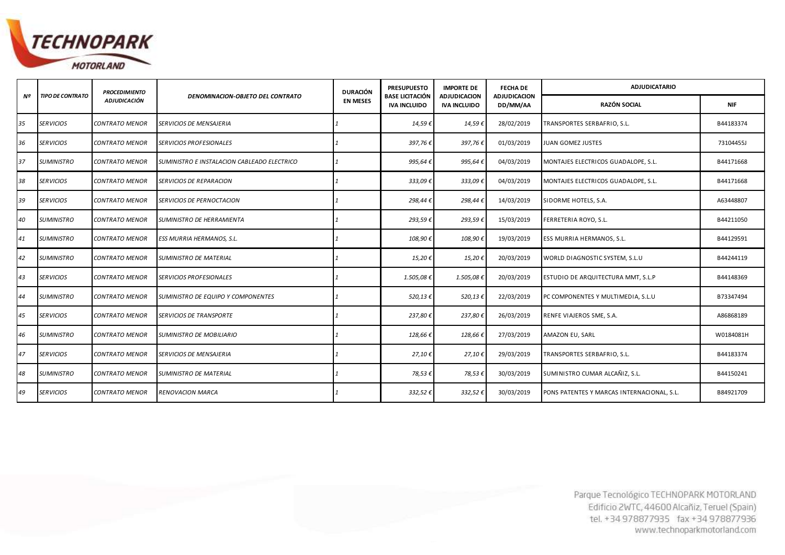

|    |                         | <b>PROCEDIMIENTO</b>  | <b>DENOMINACION-OBJETO DEL CONTRATO</b>     | <b>DURACIÓN</b><br><b>EN MESES</b> | <b>PRESUPUESTO</b>                            | <b>IMPORTE DE</b>                          | <b>FECHA DE</b>                 | <b>ADJUDICATARIO</b>                       |            |
|----|-------------------------|-----------------------|---------------------------------------------|------------------------------------|-----------------------------------------------|--------------------------------------------|---------------------------------|--------------------------------------------|------------|
| Nº | <b>TIPO DE CONTRATO</b> | <b>ADJUDICACIÓN</b>   |                                             |                                    | <b>BASE LICITACIÓN</b><br><b>IVA INCLUIDO</b> | <b>ADJUDICACION</b><br><b>IVA INCLUIDO</b> | <b>ADJUDICACION</b><br>DD/MM/AA | <b>RAZÓN SOCIAL</b>                        | <b>NIF</b> |
| 35 | <b>SERVICIOS</b>        | <b>CONTRATO MENOR</b> | SERVICIOS DE MENSAJERIA                     |                                    | 14,59€                                        | 14,59€                                     | 28/02/2019                      | TRANSPORTES SERBAFRIO, S.L.                | B44183374  |
| 36 | <b>SERVICIOS</b>        | <b>CONTRATO MENOR</b> | <b>SERVICIOS PROFESIONALES</b>              |                                    | 397,76€                                       | 397,76€                                    | 01/03/2019                      | <b>JUAN GOMEZ JUSTES</b>                   | 73104455J  |
| 37 | <b>SUMINISTRO</b>       | <b>CONTRATO MENOR</b> | SUMINISTRO E INSTALACION CABLEADO ELECTRICO |                                    | 995,64€                                       | 995,64€                                    | 04/03/2019                      | MONTAJES ELECTRICOS GUADALOPE, S.L.        | B44171668  |
| 38 | <b>SERVICIOS</b>        | <b>CONTRATO MENOR</b> | <b>SERVICIOS DE REPARACION</b>              |                                    | 333,09€                                       | 333,09€                                    | 04/03/2019                      | MONTAJES ELECTRICOS GUADALOPE, S.L.        | B44171668  |
| 39 | <b>SERVICIOS</b>        | CONTRATO MENOR        | SERVICIOS DE PERNOCTACION                   |                                    | 298,44€                                       | 298,44€                                    | 14/03/2019                      | SIDORME HOTELS, S.A.                       | A63448807  |
| 40 | <b>SUMINISTRO</b>       | <b>CONTRATO MENOR</b> | SUMINISTRO DE HERRAMIENTA                   |                                    | 293,59€                                       | 293,59€                                    | 15/03/2019                      | FERRETERIA ROYO, S.L.                      | B44211050  |
| 41 | <b>SUMINISTRO</b>       | <b>CONTRATO MENOR</b> | ESS MURRIA HERMANOS, S.L.                   |                                    | 108,90€                                       | 108,90€                                    | 19/03/2019                      | ESS MURRIA HERMANOS, S.L.                  | B44129591  |
| 42 | <b>SUMINISTRO</b>       | <b>CONTRATO MENOR</b> | <b>SUMINISTRO DE MATERIAL</b>               |                                    | 15,20€                                        | 15,20€                                     | 20/03/2019                      | WORLD DIAGNOSTIC SYSTEM, S.L.U             | B44244119  |
| 43 | <b>SERVICIOS</b>        | <b>CONTRATO MENOR</b> | <i><b>SERVICIOS PROFESIONALES</b></i>       |                                    | 1.505,08€                                     | 1.505,08€                                  | 20/03/2019                      | ESTUDIO DE ARQUITECTURA MMT, S.L.P         | B44148369  |
| 44 | <b>SUMINISTRO</b>       | <b>CONTRATO MENOR</b> | SUMINISTRO DE EQUIPO Y COMPONENTES          |                                    | 520,13€                                       | 520,13€                                    | 22/03/2019                      | PC COMPONENTES Y MULTIMEDIA, S.L.U         | B73347494  |
| 45 | <b>SERVICIOS</b>        | <b>CONTRATO MENOR</b> | SERVICIOS DE TRANSPORTE                     |                                    | 237,80€                                       | 237,80€                                    | 26/03/2019                      | RENFE VIAJEROS SME, S.A.                   | A86868189  |
| 46 | <b>SUMINISTRO</b>       | <b>CONTRATO MENOR</b> | SUMINISTRO DE MOBILIARIO                    |                                    | 128,66€                                       | 128,66€                                    | 27/03/2019                      | AMAZON EU, SARL                            | W0184081H  |
| 47 | <b>SERVICIOS</b>        | <b>CONTRATO MENOR</b> | <b>SERVICIOS DE MENSAJERIA</b>              |                                    | 27,10€                                        | 27,10€                                     | 29/03/2019                      | TRANSPORTES SERBAFRIO, S.L.                | B44183374  |
| 48 | <b>SUMINISTRO</b>       | <b>CONTRATO MENOR</b> | SUMINISTRO DE MATERIAL                      |                                    | 78,53€                                        | 78,53 €                                    | 30/03/2019                      | SUMINISTRO CUMAR ALCAÑIZ, S.L.             | B44150241  |
| 49 | <b>SERVICIOS</b>        | <b>CONTRATO MENOR</b> | <b>RENOVACION MARCA</b>                     |                                    | 332,52€                                       | 332,52€                                    | 30/03/2019                      | PONS PATENTES Y MARCAS INTERNACIONAL, S.L. | B84921709  |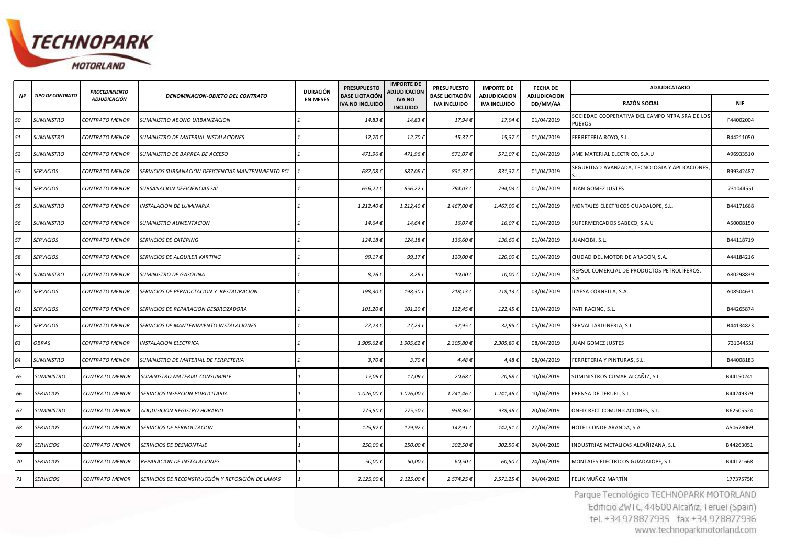

|    |                         | <b>PROCEDIMIENTO</b>  | DENOMINACION-OBJETO DEL CONTRATO                     | <b>DURACIÓN</b><br><b>EN MESES</b>                                                                                                                             | <b>PRESUPUESTO</b><br><b>BASE LICITACIÓN</b> | <b>IMPORTE DE</b><br>ADJUDICACION | <b>PRESUPUESTO</b>                            | <b>IMPORTE DE</b>                          | <b>FECHA DE</b>                 | <b>ADJUDICATARIO</b>                                            |            |
|----|-------------------------|-----------------------|------------------------------------------------------|----------------------------------------------------------------------------------------------------------------------------------------------------------------|----------------------------------------------|-----------------------------------|-----------------------------------------------|--------------------------------------------|---------------------------------|-----------------------------------------------------------------|------------|
| Nº | <b>TIPO DE CONTRATO</b> | <b>ADJUDICACIÓN</b>   |                                                      |                                                                                                                                                                | <b>IVA NO INCLUIDO</b>                       | <b>IVA NO</b><br><b>INCLUIDO</b>  | <b>BASE LICITACIÓN</b><br><b>IVA INCLUIDO</b> | <b>ADJUDICACION</b><br><b>IVA INCLUIDO</b> | <b>ADJUDICACION</b><br>DD/MM/AA | <b>RAZÓN SOCIAL</b>                                             | <b>NIF</b> |
| 50 | <b>SUMINISTRO</b>       | <b>CONTRATO MENOR</b> | SUMINISTRO ABONO URBANIZACION                        |                                                                                                                                                                | 14,83€                                       | 14,83 €                           | 17,94€                                        | 17,94€                                     | 01/04/2019                      | SOCIEDAD COOPERATIVA DEL CAMPO NTRA SRA DE LOS<br><b>PUEYOS</b> | F44002004  |
| 51 | <b>SUMINISTRO</b>       | <b>CONTRATO MENOR</b> | SUMINISTRO DE MATERIAL INSTALACIONES                 |                                                                                                                                                                | 12,70€                                       | 12,70€                            | 15,37€                                        | 15,37€                                     | 01/04/2019                      | FERRETERIA ROYO, S.L.                                           | B44211050  |
| 52 | <b>SUMINISTRO</b>       | <b>CONTRATO MENOR</b> | SUMINISTRO DE BARREA DE ACCESO                       |                                                                                                                                                                | 471,96€                                      | 471,96€                           | 571,07€                                       | 571,07€                                    | 01/04/2019                      | AME MATERIAL ELECTRICO, S.A.U                                   | A96933510  |
| 53 | <b>SERVICIOS</b>        | <b>CONTRATO MENOR</b> | SERVICIOS SUBSANACION DEFICIENCIAS MANTENIMIENTO PCI |                                                                                                                                                                | 687,08€                                      | 687,08€                           | 831,37€                                       | 831,37€                                    | 01/04/2019                      | SEGURIDAD AVANZADA, TECNOLOGIA Y APLICACIONES,                  | B99342487  |
| 54 | <b>SERVICIOS</b>        | <b>CONTRATO MENOR</b> | SUBSANACION DEFICIENCIAS SAI                         |                                                                                                                                                                | 656,22€                                      | 656,22€                           | 794,03€                                       | 794,03€                                    | 01/04/2019                      | JUAN GOMEZ JUSTES                                               | 73104455J  |
| 55 | <b>SUMINISTRO</b>       | CONTRATO MENOR        | INSTALACION DE LUMINARIA                             |                                                                                                                                                                | 1.212,40 €                                   | 1.212,40€                         | 1.467,00€                                     | 1.467,00 €                                 | 01/04/2019                      | MONTAJES ELECTRICOS GUADALOPE, S.L.                             | B44171668  |
| 56 | <b>SUMINISTRO</b>       | <b>CONTRATO MENOR</b> | SUMINISTRO ALIMENTACION                              |                                                                                                                                                                | 14,64€                                       | 14,64€                            | 16,07€                                        | 16,07€                                     | 01/04/2019                      | SUPERMERCADOS SABECO, S.A.U                                     | A50008150  |
| 57 | <b>SERVICIOS</b>        | <b>CONTRATO MENOR</b> | SERVICIOS DE CATERING                                |                                                                                                                                                                | 124,18€                                      | 124,18€                           | 136,60€                                       | 136,60€                                    | 01/04/2019                      | <b>UANCIBI, S.L.</b>                                            | B44118719  |
| 58 | <b>SERVICIOS</b>        | <b>CONTRATO MENOR</b> | SERVICIOS DE ALQUILER KARTING                        |                                                                                                                                                                | 99,17€                                       | 99,17€                            | 120,00€                                       | 120,00€                                    | 01/04/2019                      | CIUDAD DEL MOTOR DE ARAGON, S.A.                                | A44184216  |
| 59 | <b>SUMINISTRO</b>       | <b>CONTRATO MENOR</b> | SUMINISTRO DE GASOLINA                               |                                                                                                                                                                | 8,26€                                        | 8,26€                             | 10,00€                                        | 10,00€                                     | 02/04/2019                      | REPSOL COMERCIAL DE PRODUCTOS PETROLÍFEROS,<br>5.A.             | A80298839  |
| 60 | <b>SERVICIOS</b>        | <b>CONTRATO MENOR</b> | SERVICIOS DE PERNOCTACION Y RESTAURACION             |                                                                                                                                                                | 198,30€                                      | 198,30€                           | 218,13€                                       | 218,13€                                    | 03/04/2019                      | CYESA CORNELLA, S.A.                                            | A08504631  |
| 61 | <b>SERVICIOS</b>        | <b>CONTRATO MENOR</b> | SERVICIOS DE REPARACION DESBROZADORA                 |                                                                                                                                                                | 101,20€                                      | 101,20€                           | 122,45€                                       | 122,45€                                    | 03/04/2019                      | PATI RACING, S.L.                                               | B44265874  |
| 62 | <b>SERVICIOS</b>        | <b>CONTRATO MENOR</b> | SERVICIOS DE MANTENIMIENTO INSTALACIONES             |                                                                                                                                                                | 27,23€                                       | 27,23 €                           | 32,95€                                        | 32,95€                                     | 05/04/2019                      | SERVAL JARDINERIA, S.L.                                         | B44134823  |
| 63 | <b>OBRAS</b>            | CONTRATO MENOR        | INSTALACION ELECTRICA                                |                                                                                                                                                                | 1.905,62                                     | 1.905,62€                         | 2.305,80 €                                    | 2.305,80 €                                 | 08/04/2019                      | JUAN GOMEZ JUSTES                                               | 73104455J  |
| 64 | <b>SUMINISTRO</b>       | <b>CONTRATO MENOR</b> | SUMINISTRO DE MATERIAL DE FERRETERIA                 |                                                                                                                                                                | $3,70$ €                                     | 3,70 $\epsilon$                   | 4,48€                                         | 4,48 $t$                                   | 08/04/2019                      | FERRETERIA Y PINTURAS, S.L.                                     | B44008183  |
| 65 | <b>SUMINISTRO</b>       | <b>CONTRATO MENOR</b> | SUMINISTRO MATERIAL CONSUMIBLE                       |                                                                                                                                                                | 17,09€                                       | 17,09€                            | 20,68€                                        | 20,68€                                     | 10/04/2019                      | SUMINISTROS CUMAR ALCAÑIZ, S.L.                                 | B44150241  |
| 66 | <b>SERVICIOS</b>        | <b>CONTRATO MENOR</b> | SERVICIOS INSERCION PUBLICITARIA                     |                                                                                                                                                                | 1.026,00 €                                   | 1.026,00€                         | 1.241,46€                                     | 1.241,46€                                  | 10/04/2019                      | PRENSA DE TERUEL, S.L.                                          | B44249379  |
| 67 | <b>SUMINISTRO</b>       | <b>CONTRATO MENOR</b> | ADQUISICION REGISTRO HORARIO                         |                                                                                                                                                                | 775,50€                                      | 775,50€                           | 938,36€                                       | 938,36€                                    | 20/04/2019                      | ONEDIRECT COMUNICACIONES, S.L.                                  | B62505524  |
| 68 | <b>SERVICIOS</b>        | <b>CONTRATO MENOR</b> | SERVICIOS DE PERNOCTACION                            |                                                                                                                                                                | 129,92€                                      | 129,92€                           | 142,91€                                       | 142,91€                                    | 22/04/2019                      | HOTEL CONDE ARANDA, S.A.                                        | A50678069  |
| 69 | <b>SERVICIOS</b>        | <b>CONTRATO MENOR</b> | SERVICIOS DE DESMONTAJE                              |                                                                                                                                                                | 250,00 €                                     | 250,00€                           | 302,50€                                       | 302,50€                                    | 24/04/2019                      | INDUSTRIAS METALICAS ALCAÑIZANA, S.L.                           | B44263051  |
| 70 | <b>SERVICIOS</b>        | <b>CONTRATO MENOR</b> | REPARACION DE INSTALACIONES                          |                                                                                                                                                                | 50,00€                                       | 50,00€                            | 60,50€                                        | 60,50€                                     | 24/04/2019                      | MONTAJES ELECTRICOS GUADALOPE, S.L.                             | B44171668  |
| 71 | <b>SERVICIOS</b>        | <b>CONTRATO MENOR</b> | SERVICIOS DE RECONSTRUCCIÓN Y REPOSICIÓN DE LAMAS    |                                                                                                                                                                | 2.125,004                                    | 2.125,00€                         | 2.574,25€                                     | 2.571,25€                                  | 24/04/2019                      | FELIX MUÑOZ MARTÍN                                              | 17737575K  |
|    |                         |                       |                                                      | Parque Tecnológico TECHNOPARK MOTORLAND<br>Edificio 2WTC, 44600 Alcañiz, Teruel (Spain)<br>tel. +34 978877935 fax +34 978877936<br>www.technoparkmotorland.com |                                              |                                   |                                               |                                            |                                 |                                                                 |            |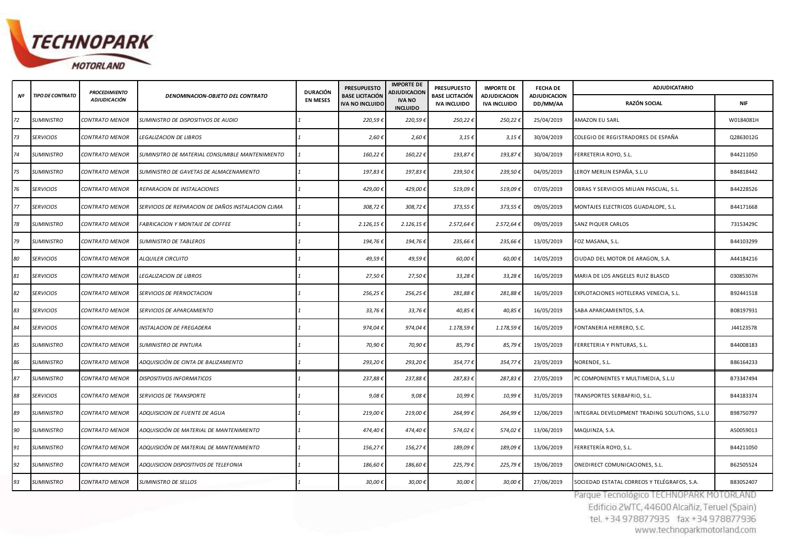

|    | TIPO DE CONTRATO  | <b>PROCEDIMIENTO</b>  | DENOMINACION-OBJETO DEL CONTRATO                   | <b>DURACIÓN</b> | <b>PRESUPUESTO</b><br><b>BASE LICITACIÓN</b> | <b>IMPORTE DE</b><br><b>ADJUDICACION</b> | <b>PRESUPUESTO</b><br>BASE LICITACIÓN | <b>IMPORTE DE</b>                          | <b>FECHADE</b>           | <b>ADJUDICATARIO</b>                                                                                                                                           |            |
|----|-------------------|-----------------------|----------------------------------------------------|-----------------|----------------------------------------------|------------------------------------------|---------------------------------------|--------------------------------------------|--------------------------|----------------------------------------------------------------------------------------------------------------------------------------------------------------|------------|
| Nº |                   | <b>ADJUDICACIÓN</b>   |                                                    | <b>EN MESES</b> | IVA NO INCLUIDO                              | <b>IVA NO</b><br><b>INCLUIDO</b>         | <b>IVA INCLUIDO</b>                   | <b>ADJUDICACION</b><br><b>IVA INCLUIDO</b> | ADJUDICACION<br>DD/MM/AA | RAZÓN SOCIAL                                                                                                                                                   | <b>NIF</b> |
| 72 | <b>SUMINISTRO</b> | CONTRATO MENOR        | SUMINISTRO DE DISPOSITIVOS DE AUDIO                |                 | 220,59€                                      | 220,59€                                  | 250,22€                               | 250,22€                                    | 25/04/2019               | AMAZON EU SARL                                                                                                                                                 | W0184081H  |
| 73 | <b>SERVICIOS</b>  | CONTRATO MENOR        | <b>LEGALIZACION DE LIBROS</b>                      |                 | $2,60$ €                                     | 2,60€                                    | 3,15€                                 | $3,15 \notin$                              | 30/04/2019               | COLEGIO DE REGISTRADORES DE ESPAÑA                                                                                                                             | Q2863012G  |
| 74 | <b>SUMINISTRO</b> | CONTRATO MENOR        | SUMINSITRO DE MATERIAL CONSUMIBLE MANTENIMIENTO    |                 | 160,22€                                      | 160,22€                                  | 193,87€                               | 193,87€                                    | 30/04/2019               | FERRETERIA ROYO, S.L.                                                                                                                                          | B44211050  |
| 75 | <b>SUMINISTRO</b> | CONTRATO MENOR        | SUMINISTRO DE GAVETAS DE ALMACENAMIENTO            |                 | 197,83€                                      | 197,83€                                  | 239,50€                               | 239,50€                                    | 04/05/2019               | LEROY MERLIN ESPAÑA, S.L.U                                                                                                                                     | B84818442  |
| 76 | <b>SERVICIOS</b>  | CONTRATO MENOR        | REPARACION DE INSTALACIONES                        |                 | 429,00€                                      | 429,00€                                  | 519,09€                               | 519,09€                                    | 07/05/2019               | OBRAS Y SERVICIOS MILIAN PASCUAL, S.L.                                                                                                                         | B44228526  |
| 77 | <b>SERVICIOS</b>  | CONTRATO MENOR        | SERVICIOS DE REPARACION DE DAÑOS INSTALACION CLIMA |                 | 308,72€                                      | 308,72€                                  | 373,55 €                              | 373,55 €                                   | 09/05/2019               | MONTAJES ELECTRICOS GUADALOPE, S.L.                                                                                                                            | B44171668  |
| 78 | <b>SUMINISTRO</b> | CONTRATO MENOR        | <b>FABRICACION Y MONTAJE DE COFFEE</b>             |                 | 2.126,156                                    | 2.126,15€                                | 2.572,64€                             | 2.572,64 €                                 | 09/05/2019               | <b>SANZ PIQUER CARLOS</b>                                                                                                                                      | 73153429C  |
| 79 | <b>SUMINISTRO</b> | CONTRATO MENOR        | SUMINISTRO DE TABLEROS                             |                 | 194,76€                                      | 194,76€                                  | 235,66€                               | 235,66€                                    | 13/05/2019               | FOZ MASANA, S.L.                                                                                                                                               | B44103299  |
| 80 | <b>SERVICIOS</b>  | CONTRATO MENOR        | <b>ALQUILER CIRCUITO</b>                           |                 | 49,59€                                       | 49,59€                                   | 60,00€                                | 60,00 €                                    | 14/05/2019               | CIUDAD DEL MOTOR DE ARAGON, S.A.                                                                                                                               | A44184216  |
| 81 | <b>SERVICIOS</b>  | <b>CONTRATO MENOR</b> | <b>LEGALIZACION DE LIBROS</b>                      |                 | 27,50 €                                      | 27,50€                                   | 33,28€                                | 33,28€                                     | 16/05/2019               | MARIA DE LOS ANGELES RUIZ BLASCO                                                                                                                               | 03085307H  |
| 82 | <b>SERVICIOS</b>  | CONTRATO MENOR        | SERVICIOS DE PERNOCTACION                          |                 | 256,25€                                      | 256,25€                                  | 281,88€                               | 281,88€                                    | 16/05/2019               | EXPLOTACIONES HOTELERAS VENECIA, S.L.                                                                                                                          | B92441518  |
| 83 | <b>SERVICIOS</b>  | CONTRATO MENOR        | SERVICIOS DE APARCAMIENTO                          |                 | 33,76€                                       | 33,76€                                   | 40,85€                                | 40,85€                                     | 16/05/2019               | SABA APARCAMIENTOS, S.A.                                                                                                                                       | B08197931  |
| 84 | <b>SERVICIOS</b>  | CONTRATO MENOR        | INSTALACION DE FREGADERA                           |                 | 974,04€                                      | 974,04€                                  | 1.178,59€                             | 1.178,596                                  | 16/05/2019               | FONTANERIA HERRERO, S.C.                                                                                                                                       | J44123578  |
| 85 | <b>SUMINISTRO</b> | <b>CONTRATO MENOR</b> | SUMINISTRO DE PINTURA                              |                 | 70,90 €                                      | 70,90€                                   | 85,79€                                | 85,79€                                     | 19/05/2019               | FERRETERIA Y PINTURAS, S.L.                                                                                                                                    | B44008183  |
| 86 | <b>SUMINISTRO</b> | CONTRATO MENOR        | ADQUISICIÓN DE CINTA DE BALIZAMIENTO               |                 | 293,20€                                      | 293,20€                                  | 354,77€                               | 354,77€                                    | 23/05/2019               | NORENDE, S.L.                                                                                                                                                  | B86164233  |
| 87 | <b>SUMINISTRO</b> | CONTRATO MENOR        | DISPOSITIVOS INFORMATICOS                          |                 | 237,88€                                      | 237,88€                                  | 287,83€                               | 287,83€                                    | 27/05/2019               | PC COMPONENTES Y MULTIMEDIA, S.L.U                                                                                                                             | B73347494  |
| 88 | <b>SERVICIOS</b>  | CONTRATO MENOR        | SERVICIOS DE TRANSPORTE                            |                 | 9,08                                         | 9,08€                                    | 10,99€                                | 10,99€                                     | 31/05/2019               | TRANSPORTES SERBAFRIO, S.L.                                                                                                                                    | B44183374  |
| 89 | <b>SUMINISTRO</b> | CONTRATO MENOR        | ADQUISICION DE FUENTE DE AGUA                      |                 | 219,00€                                      | 219,00€                                  | 264,99€                               | 264,99€                                    | 12/06/2019               | INTEGRAL DEVELOPMENT TRADING SOLUTIONS, S.L.U                                                                                                                  | B98750797  |
| 90 | <b>SUMINISTRO</b> | CONTRATO MENOR        | ADQUISICIÓN DE MATERIAL DE MANTENIMIENTO           |                 | 474,40€                                      | 474,40€                                  | 574,02€                               | 574,02€                                    | 13/06/2019               | MAQUINZA, S.A.                                                                                                                                                 | A50059013  |
| 91 | <b>SUMINISTRO</b> | <b>CONTRATO MENOR</b> | ADQUISICIÓN DE MATERIAL DE MANTENIMIENTO           |                 | 156,27€                                      | 156,27€                                  | 189,09€                               | 189,09€                                    | 13/06/2019               | FERRETERÍA ROYO, S.L.                                                                                                                                          | B44211050  |
| 92 | <b>SUMINISTRO</b> | CONTRATO MENOR        | ADQUISICION DISPOSITIVOS DE TELEFONIA              |                 | 186,60€                                      | 186,60€                                  | 225,79€                               | 225,79€                                    | 19/06/2019               | ONEDIRECT COMUNICACIONES, S.L.                                                                                                                                 | B62505524  |
| 93 | <b>SUMINISTRO</b> | <b>CONTRATO MENOR</b> | SUMINISTRO DE SELLOS                               |                 | 30,00€                                       | 30,00€                                   | 30,00€                                | 30,00€                                     | 27/06/2019               | SOCIEDAD ESTATAL CORREOS Y TELÉGRAFOS, S.A.                                                                                                                    | B83052407  |
|    |                   |                       |                                                    |                 |                                              |                                          |                                       |                                            |                          | Parque Tecnológico TECHNOPARK MOTORLAND<br>Edificio 2WTC, 44600 Alcañiz, Teruel (Spain)<br>tel. +34 978877935 fax +34 978877936<br>www.technonarkmotorland.com |            |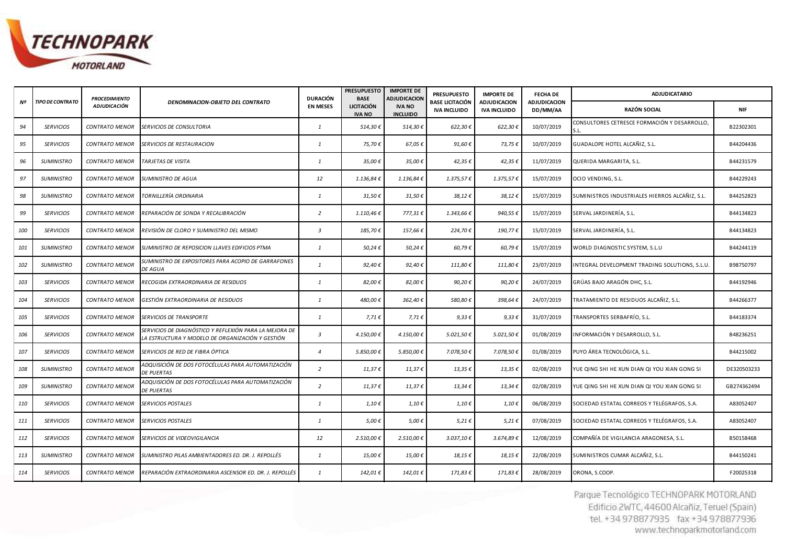

|     |                         | <b>PROCEDIMIENTO</b>  |                                                                                                            | <b>DURACIÓN</b> | <b>PRESUPUESTO</b><br><b>BASE</b>  | <b>IMPORTE DE</b><br>ADJUDICACION | <b>PRESUPUESTO</b>                     | <b>IMPORTE DE</b><br><b>ADJUDICACION</b> | <b>FECHA DE</b>                 | <b>ADJUDICATARIO</b>                                 |             |
|-----|-------------------------|-----------------------|------------------------------------------------------------------------------------------------------------|-----------------|------------------------------------|-----------------------------------|----------------------------------------|------------------------------------------|---------------------------------|------------------------------------------------------|-------------|
| Nº  | <b>TIPO DE CONTRATO</b> | <b>ADJUDICACIÓN</b>   | DENOMINACION-OBJETO DEL CONTRATO                                                                           | <b>EN MESES</b> | <b>LICITACIÓN</b><br><b>IVA NO</b> | <b>IVA NO</b><br><b>INCLUIDO</b>  | <b>BASE LICITACIÓN</b><br>IVA INCLUIDO | <b>IVA INCLUIDO</b>                      | <b>ADJUDICACION</b><br>DD/MM/AA | RAZÓN SOCIAL                                         | <b>NIF</b>  |
| 94  | <b>SERVICIOS</b>        | <b>CONTRATO MENOR</b> | SERVICIOS DE CONSULTORIA                                                                                   | $\mathbf{1}$    | 514,30€                            | 514,30€                           | 622,30€                                | 622,30€                                  | 10/07/2019                      | CONSULTORES CETRESCE FORMACIÓN Y DESARROLLO,<br>S.L. | B22302301   |
| 95  | <b>SERVICIOS</b>        | <b>CONTRATO MENOR</b> | <i><b>SERVICIOS DE RESTAURACION</b></i>                                                                    | $\mathbf{1}$    | 75,70€                             | 67,05€                            | 91,60 €                                | 73,75€                                   | 10/07/2019                      | GUADALOPE HOTEL ALCAÑIZ, S.L.                        | B44204436   |
| 96  | <b>SUMINISTRO</b>       | <b>CONTRATO MENOR</b> | TARJETAS DE VISITA                                                                                         | 1               | 35,00€                             | 35,00€                            | 42,35€                                 | 42,35€                                   | 11/07/2019                      | QUERIDA MARGARITA, S.L.                              | B44231579   |
| 97  | <b>SUMINISTRO</b>       | <b>CONTRATO MENOR</b> | <b>SUMINISTRO DE AGUA</b>                                                                                  | 12              | 1.136,84€                          | 1.136,84€                         | 1.375,57€                              | 1.375,57€                                | 15/07/2019                      | OCIO VENDING, S.L.                                   | B44229243   |
| 98  | <b>SUMINISTRO</b>       | <b>CONTRATO MENOR</b> | TORNILLERÍA ORDINARIA                                                                                      | 1               | 31,50€                             | 31,50€                            | 38,12€                                 | 38,12€                                   | 15/07/2019                      | SUMINISTROS INDUSTRIALES HIERROS ALCAÑIZ, S.L.       | B44252823   |
| 99  | <b>SERVICIOS</b>        | <b>CONTRATO MENOR</b> | REPARACIÓN DE SONDA Y RECALIBRACIÓN                                                                        | $\overline{2}$  | 1.110,46€                          | 777,31€                           | 1.343,66€                              | 940,55€                                  | 15/07/2019                      | SERVAL JARDINERÍA, S.L.                              | B44134823   |
| 100 | <b>SERVICIOS</b>        | <b>CONTRATO MENOR</b> | REVISIÓN DE CLORO Y SUMINISTRO DEL MISMO                                                                   | $\mathbf{3}$    | 185,70€                            | 157,66€                           | 224,70€                                | 190,77€                                  | 15/07/2019                      | SERVAL JARDINERÍA, S.L.                              | B44134823   |
| 101 | <b>SUMINISTRO</b>       | <b>CONTRATO MENOR</b> | SUMINISTRO DE REPOSICION LLAVES EDIFICIOS PTMA                                                             | 1               | 50,24€                             | 50,24€                            | 60,79€                                 | 60,79€                                   | 15/07/2019                      | WORLD DIAGNOSTIC SYSTEM, S.L.U                       | B44244119   |
| 102 | <b>SUMINISTRO</b>       | <b>CONTRATO MENOR</b> | SUMINISTRO DE EXPOSITORES PARA ACOPIO DE GARRAFONES<br>DE AGUA                                             | 1               | 92,40€                             | 92,40€                            | 111,80€                                | 111,80€                                  | 23/07/2019                      | INTEGRAL DEVELOPMENT TRADING SOLUTIONS, S.L.U        | B98750797   |
| 103 | <b>SERVICIOS</b>        | <b>CONTRATO MENOR</b> | RECOGIDA EXTRAORDINARIA DE RESIDUOS                                                                        | $\mathbf{1}$    | 82,00€                             | 82,00€                            | 90,20€                                 | 90,20 €                                  | 24/07/2019                      | GRÚAS BAJO ARAGÓN DHC, S.L.                          | B44192946   |
| 104 | <b>SERVICIOS</b>        | <b>CONTRATO MENOR</b> | GESTIÓN EXTRAORDINARIA DE RESIDUOS                                                                         | 1               | 480,00€                            | 362,40€                           | 580,80€                                | 398,64€                                  | 24/07/2019                      | TRATAMIENTO DE RESIDUOS ALCAÑIZ, S.L.                | B44266377   |
| 105 | <b>SERVICIOS</b>        | <b>CONTRATO MENOR</b> | SERVICIOS DE TRANSPORTE                                                                                    | 1               | 7,71 €                             | 7,71€                             | $9,33 \notin$                          | $9,33 \notin$                            | 31/07/2019                      | TRANSPORTES SERBAFRÍO, S.L.                          | B44183374   |
| 106 | <b>SERVICIOS</b>        | <b>CONTRATO MENOR</b> | SERVICIOS DE DIAGNÓSTICO Y REFLEXIÓN PARA LA MEJORA DE<br>LA ESTRUCTURA Y MODELO DE ORGANIZACIÓN Y GESTIÓN | $\mathbf{3}$    | 4.150,00 €                         | 4.150,00€                         | 5.021,50€                              | 5.021,50€                                | 01/08/2019                      | INFORMACIÓN Y DESARROLLO, S.L.                       | B48236251   |
| 107 | <b>SERVICIOS</b>        | <b>CONTRATO MENOR</b> | SERVICIOS DE RED DE FIBRA ÓPTICA                                                                           | $\overline{4}$  | 5.850,00€                          | 5.850,00€                         | 7.078,50€                              | 7.078,50€                                | 01/08/2019                      | PUYO ÁREA TECNOLÓGICA, S.L.                          | B44215002   |
| 108 | <b>SUMINISTRO</b>       | <b>CONTRATO MENOR</b> | ADQUISICIÓN DE DOS FOTOCÉLULAS PARA AUTOMATIZACIÓN<br><b>DE PUERTAS</b>                                    | 2               | 11,37€                             | $11,37 \in$                       | 13,35€                                 | $13,35 \in$                              | 02/08/2019                      | YUE QING SHI HE XUN DIAN QI YOU XIAN GONG SI         | DE320503233 |
| 109 | <b>SUMINISTRO</b>       | <b>CONTRATO MENOR</b> | ADQUISICIÓN DE DOS FOTOCÉLULAS PARA AUTOMATIZACIÓN<br><b>DE PUERTAS</b>                                    | 2               | 11,37€                             | 11,37€                            | 13,34€                                 | 13,34 €                                  | 02/08/2019                      | YUE QING SHI HE XUN DIAN QI YOU XIAN GONG SI         | GB274362494 |
| 110 | <b>SERVICIOS</b>        | <b>CONTRATO MENOR</b> | SERVICIOS POSTALES                                                                                         | $\mathbf{1}$    | $1,10 \in$                         | $1,10 \in$                        | $1,10 \in$                             | $1,10 \in$                               | 06/08/2019                      | SOCIEDAD ESTATAL CORREOS Y TELÉGRAFOS, S.A.          | A83052407   |
| 111 | <b>SERVICIOS</b>        | <b>CONTRATO MENOR</b> | <b>SERVICIOS POSTALES</b>                                                                                  | $\mathbf{1}$    | 5,00€                              | 5,00€                             | 5,21€                                  | 5,21 €                                   | 07/08/2019                      | SOCIEDAD ESTATAL CORREOS Y TELÉGRAFOS, S.A.          | A83052407   |
| 112 | <b>SERVICIOS</b>        | <b>CONTRATO MENOR</b> | SERVICIOS DE VIDEOVIGILANCIA                                                                               | 12              | 2.510,00 €                         | 2.510,00€                         | 3.037,10€                              | 3.674,89€                                | 12/08/2019                      | COMPAÑÍA DE VIGILANCIA ARAGONESA, S.L.               | B50158468   |
| 113 | <b>SUMINISTRO</b>       | <b>CONTRATO MENOR</b> | SUMINISTRO PILAS AMBIENTADORES ED. DR. J. REPOLLÉS                                                         | $\mathbf{1}$    | 15,00€                             | 15,00€                            | 18,15€                                 | 18,15€                                   | 22/08/2019                      | SUMINISTROS CUMAR ALCAÑIZ, S.L.                      | B44150241   |
| 114 | <b>SERVICIOS</b>        | <b>CONTRATO MENOR</b> | REPARACIÓN EXTRAORDINARIA ASCENSOR ED. DR. J. REPOLLÉS                                                     | 1               | 142,01€                            | 142,01€                           | 171,83€                                | 171,83 €                                 | 28/08/2019                      | ORONA, S.COOP.                                       | F20025318   |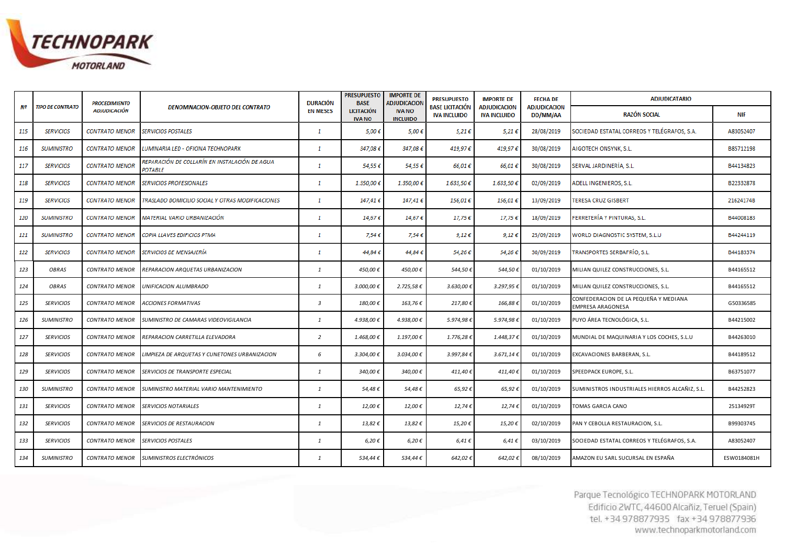

|     |                         | <b>PROCEDIMIENTO</b>  |                                                                 | <b>DURACIÓN</b> | <b>PRESUPUESTO</b><br><b>BASE</b>  | <b>IMPORTE DE</b><br><b>ADJUDICACIOI</b> | <b>PRESUPUESTO</b>                            | <b>IMPORTE DE</b>                          | <b>FECHA DE</b>                 | <b>ADJUDICATARIO</b>                                       |             |
|-----|-------------------------|-----------------------|-----------------------------------------------------------------|-----------------|------------------------------------|------------------------------------------|-----------------------------------------------|--------------------------------------------|---------------------------------|------------------------------------------------------------|-------------|
| Nº  | <b>TIPO DE CONTRATO</b> | <b>ADJUDICACIÓN</b>   | <b>DENOMINACION-OBJETO DEL CONTRATO</b>                         | <b>EN MESES</b> | <b>LICITACIÓN</b><br><b>IVA NO</b> | <b>IVA NO</b><br><b>INCLUIDO</b>         | <b>BASE LICITACIÓN</b><br><b>IVA INCLUIDO</b> | <b>ADJUDICACION</b><br><b>IVA INCLUIDO</b> | <b>ADJUDICACION</b><br>DD/MM/AA | <b>RAZÓN SOCIAL</b>                                        | <b>NIF</b>  |
| 115 | <b>SERVICIOS</b>        | <b>CONTRATO MENOR</b> | <b>SERVICIOS POSTALES</b>                                       | $\mathbf{1}$    | $5,00 \in$                         | 5,00€                                    | 5,21€                                         | 5,21€                                      | 28/08/2019                      | SOCIEDAD ESTATAL CORREOS Y TELÉGRAFOS, S.A.                | A83052407   |
| 116 | <b>SUMINISTRO</b>       | <b>CONTRATO MENOR</b> | LUMINARIA LED - OFICINA TECHNOPARK                              | $\mathbf{1}$    | 347,08€                            | 347,08€                                  | 419,97€                                       | 419,97€                                    | 30/08/2019                      | AIGOTECH ONSYNK, S.L.                                      | B85712198   |
| 117 | <b>SERVICIOS</b>        | <b>CONTRATO MENOR</b> | REPARACIÓN DE COLLARÍN EN INSTALACIÓN DE AGUA<br><b>POTABLE</b> | 1               | 54,55€                             | 54,55€                                   | 66,01€                                        | 66,01 €                                    | 30/08/2019                      | SERVAL JARDINERÍA, S.L.                                    | B44134823   |
| 118 | <b>SERVICIOS</b>        | <b>CONTRATO MENOR</b> | <b>SERVICIOS PROFESIONALES</b>                                  | -1              | 1.350,00€                          | 1.350,00€                                | 1.633,50 €                                    | 1.633,50€                                  | 02/09/2019                      | ADELL INGENIEROS, S.L.                                     | B22332878   |
| 119 | <b>SERVICIOS</b>        | <b>CONTRATO MENOR</b> | TRASLADO DOMICILIO SOCIAL Y OTRAS MODIFICACIONES                | 1               | 147,41€                            | 147,41€                                  | 156,01€                                       | 156,01€                                    | 13/09/2019                      | <b>TERESA CRUZ GISBERT</b>                                 | 21624174B   |
| 120 | <b>SUMINISTRO</b>       | <b>CONTRATO MENOR</b> | MATERIAL VARIO URBANIZACIÓN                                     | -1              | 14,67€                             | 14,67€                                   | 17,75€                                        | 17,75€                                     | 18/09/2019                      | FERRETERÍA Y PINTURAS, S.L.                                | B44008183   |
| 121 | <b>SUMINISTRO</b>       | <b>CONTRATO MENOR</b> | COPIA LLAVES EDIFICIOS PTMA                                     | 1               | 7,54€                              | 7,54€                                    | 9,12€                                         | 9,12€                                      | 25/09/2019                      | WORLD DIAGNOSTIC SYSTEM, S.L.U                             | B44244119   |
| 122 | <b>SERVICIOS</b>        | <b>CONTRATO MENOR</b> | SERVICIOS DE MENSAJERÍA                                         | 1               | 44,84€                             | 44,84€                                   | 54,26€                                        | 54,26€                                     | 30/09/2019                      | TRANSPORTES SERBAFRÍO, S.L.                                | B44183374   |
| 123 | OBRAS                   | <b>CONTRATO MENOR</b> | REPARACION ARQUETAS URBANIZACION                                | $\mathbf{1}$    | 450,00€                            | 450,00€                                  | 544,50€                                       | 544,50€                                    | 01/10/2019                      | MILIAN QUILEZ CONSTRUCCIONES, S.L.                         | B44165512   |
| 124 | OBRAS                   | <b>CONTRATO MENOR</b> | UNIFICACION ALUMBRADO                                           | $\mathbf{1}$    | 3.000,00€                          | 2.725,58€                                | 3.630,00 €                                    | 3.297,95€                                  | 01/10/2019                      | MILIAN QUILEZ CONSTRUCCIONES, S.L.                         | B44165512   |
| 125 | <b>SERVICIOS</b>        | <b>CONTRATO MENOR</b> | ACCIONES FORMATIVAS                                             | $\overline{3}$  | 180,00€                            | 163,76€                                  | 217,80€                                       | 166,88€                                    | 01/10/2019                      | CONFEDERACION DE LA PEQUEÑA Y MEDIANA<br>EMPRESA ARAGONESA | G50336585   |
| 126 | <b>SUMINISTRO</b>       | <b>CONTRATO MENOR</b> | SUMINISTRO DE CAMARAS VIDEOVIGILANCIA                           | $\mathbf{1}$    | 4.938,00€                          | 4.938,00€                                | 5.974,98€                                     | 5.974,98€                                  | 01/10/2019                      | PUYO ÁREA TECNOLÓGICA, S.L.                                | B44215002   |
| 127 | <b>SERVICIOS</b>        | <b>CONTRATO MENOR</b> | REPARACION CARRETILLA ELEVADORA                                 | $\overline{2}$  | 1.468,00€                          | 1.197,00€                                | 1.776,28€                                     | 1.448,37€                                  | 01/10/2019                      | MUNDIAL DE MAQUINARIA Y LOS COCHES, S.L.U                  | B44263010   |
| 128 | <b>SERVICIOS</b>        | <b>CONTRATO MENOR</b> | IMPIEZA DE ARQUETAS Y CUNETONES URBANIZACION.                   | 6               | 3.304,00€                          | 3.034,00€                                | 3.997,84 €                                    | $3.671,14 \in$                             | 01/10/2019                      | EXCAVACIONES BARBERAN, S.L.                                | B44189512   |
| 129 | <b>SERVICIOS</b>        | <b>CONTRATO MENOR</b> | SERVICIOS DE TRANSPORTE ESPECIAL                                | $\mathbf{1}$    | 340,00€                            | 340,00€                                  | 411,40€                                       | 411,40€                                    | 01/10/2019                      | SPEEDPACK EUROPE, S.L.                                     | B63751077   |
| 130 | <b>SUMINISTRO</b>       | <b>CONTRATO MENOR</b> | SUMINISTRO MATERIAL VARIO MANTENIMIENTO                         | $\mathbf{1}$    | 54,48€                             | 54,48€                                   | 65,92€                                        | 65,92€                                     | 01/10/2019                      | SUMINISTROS INDUSTRIALES HIERROS ALCAÑIZ, S.L.             | B44252823   |
| 131 | <b>SERVICIOS</b>        | <b>CONTRATO MENOR</b> | SERVICIOS NOTARIALES                                            | $\mathbf{1}$    | 12,00€                             | 12,00€                                   | 12,74€                                        | 12,74€                                     | 01/10/2019                      | TOMAS GARCIA CANO                                          | 25134929T   |
| 132 | <b>SERVICIOS</b>        | <b>CONTRATO MENOR</b> | <i><b>SERVICIOS DE RESTAURACION</b></i>                         | $\mathbf{1}$    | 13,82€                             | 13,82€                                   | 15,20€                                        | 15,20€                                     | 02/10/2019                      | PAN Y CEBOLLA RESTAURACION, S.L.                           | B99303745   |
| 133 | <b>SERVICIOS</b>        | <b>CONTRATO MENOR</b> | <i><b>SERVICIOS POSTALES</b></i>                                | 1               | 6,20€                              | 6,20€                                    | $6,41 \in$                                    | $6,41 \in$                                 | 03/10/2019                      | SOCIEDAD ESTATAL CORREOS Y TELÉGRAFOS, S.A.                | A83052407   |
| 134 | <b>SUMINISTRO</b>       | <b>CONTRATO MENOR</b> | SUMINISTROS ELECTRÓNICOS                                        | 1               | 534,44 €                           | 534,44€                                  | 642,02€                                       | 642,02€                                    | 08/10/2019                      | AMAZON EU SARL SUCURSAL EN ESPAÑA                          | ESW0184081H |